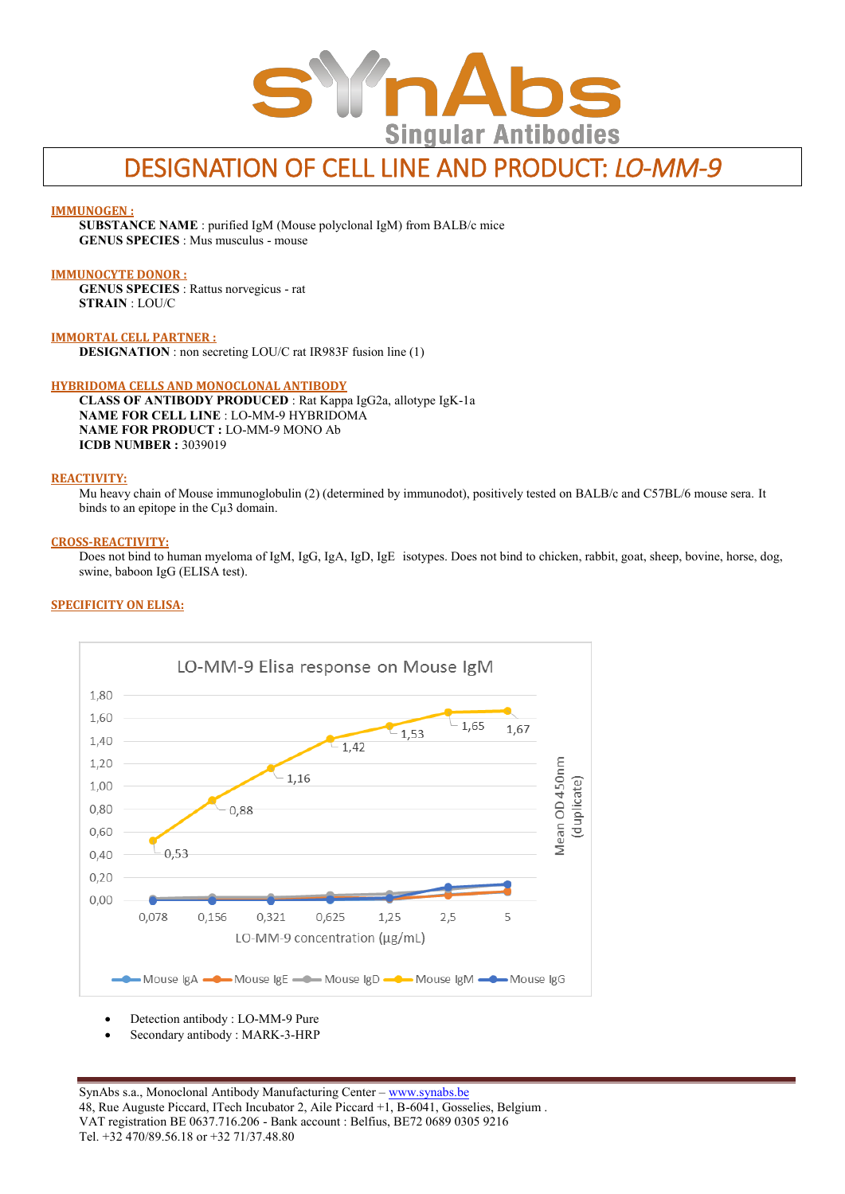

# DESIGNATION OF CELL LINE AND PRODUCT: *LO-MM-9*

#### **IMMUNOGEN :**

**SUBSTANCE NAME** : purified IgM (Mouse polyclonal IgM) from BALB/c mice **GENUS SPECIES** : Mus musculus - mouse

#### **IMMUNOCYTE DONOR :**

**GENUS SPECIES** : Rattus norvegicus - rat **STRAIN** : LOU/C

**IMMORTAL CELL PARTNER :**

**DESIGNATION** : non secreting LOU/C rat IR983F fusion line (1)

#### **HYBRIDOMA CELLS AND MONOCLONAL ANTIBODY**

**CLASS OF ANTIBODY PRODUCED** : Rat Kappa IgG2a, allotype IgK-1a **NAME FOR CELL LINE** : LO-MM-9 HYBRIDOMA **NAME FOR PRODUCT :** LO-MM-9 MONO Ab **ICDB NUMBER :** 3039019

## **REACTIVITY:**

Mu heavy chain of Mouse immunoglobulin (2) (determined by immunodot), positively tested on BALB/c and C57BL/6 mouse sera. It binds to an epitope in the Cµ3 domain.

#### **CROSS-REACTIVITY:**

Does not bind to human myeloma of IgM, IgG, IgA, IgD, IgE isotypes. Does not bind to chicken, rabbit, goat, sheep, bovine, horse, dog, swine, baboon IgG (ELISA test).

#### **SPECIFICITY ON ELISA:**



- Detection antibody : LO-MM-9 Pure
- Secondary antibody : MARK-3-HRP

SynAbs s.a., Monoclonal Antibody Manufacturing Center - www.synabs.be 48, Rue Auguste Piccard, ITech Incubator 2, Aile Piccard +1, B-6041, Gosselies, Belgium . VAT registration BE 0637.716.206 - Bank account : Belfius, BE72 0689 0305 9216 Tel. +32 470/89.56.18 or +32 71/37.48.80